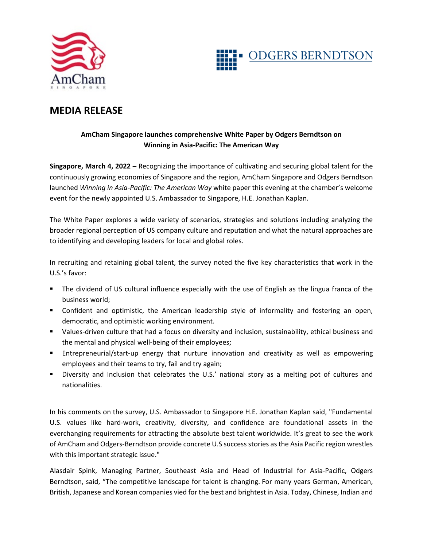



## **MEDIA RELEASE**

## **AmCham Singapore launches comprehensive White Paper by Odgers Berndtson on Winning in Asia-Pacific: The American Way**

**Singapore, March 4, 2022 –** Recognizing the importance of cultivating and securing global talent for the continuously growing economies of Singapore and the region, AmCham Singapore and Odgers Berndtson launched *Winning in Asia-Pacific: The American Way* white paper this evening at the chamber's welcome event for the newly appointed U.S. Ambassador to Singapore, H.E. Jonathan Kaplan.

The White Paper explores a wide variety of scenarios, strategies and solutions including analyzing the broader regional perception of US company culture and reputation and what the natural approaches are to identifying and developing leaders for local and global roles.

In recruiting and retaining global talent, the survey noted the five key characteristics that work in the U.S.'s favor:

- The dividend of US cultural influence especially with the use of English as the lingua franca of the business world;
- Confident and optimistic, the American leadership style of informality and fostering an open, democratic, and optimistic working environment.
- Values-driven culture that had a focus on diversity and inclusion, sustainability, ethical business and the mental and physical well-being of their employees;
- Entrepreneurial/start-up energy that nurture innovation and creativity as well as empowering employees and their teams to try, fail and try again;
- Diversity and Inclusion that celebrates the U.S.' national story as a melting pot of cultures and nationalities.

In his comments on the survey, U.S. Ambassador to Singapore H.E. Jonathan Kaplan said, "Fundamental U.S. values like hard-work, creativity, diversity, and confidence are foundational assets in the everchanging requirements for attracting the absolute best talent worldwide. It's great to see the work of AmCham and Odgers-Berndtson provide concrete U.S success stories as the Asia Pacific region wrestles with this important strategic issue."

Alasdair Spink, Managing Partner, Southeast Asia and Head of Industrial for Asia-Pacific, Odgers Berndtson, said, "The competitive landscape for talent is changing. For many years German, American, British, Japanese and Korean companies vied for the best and brightest in Asia. Today, Chinese, Indian and